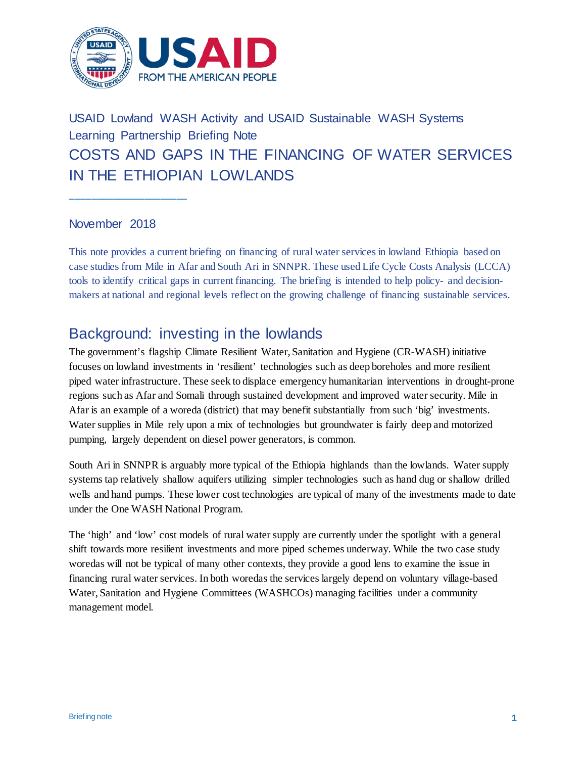

# USAID Lowland WASH Activity and USAID Sustainable WASH Systems Learning Partnership Briefing Note COSTS AND GAPS IN THE FINANCING OF WATER SERVICES IN THE ETHIOPIAN LOWLANDS

#### November 2018

**\_\_\_\_\_\_\_\_\_\_\_\_\_\_\_\_\_\_\_\_\_\_**

This note provides a current briefing on financing of rural water services in lowland Ethiopia based on case studies from Mile in Afar and South Ari in SNNPR. These used Life Cycle Costs Analysis (LCCA) tools to identify critical gaps in current financing. The briefing is intended to help policy- and decisionmakers at national and regional levels reflect on the growing challenge of financing sustainable services.

## Background: investing in the lowlands

The government's flagship Climate Resilient Water, Sanitation and Hygiene (CR-WASH) initiative focuses on lowland investments in 'resilient' technologies such as deep boreholes and more resilient piped water infrastructure. These seek to displace emergency humanitarian interventions in drought-prone regions such as Afar and Somali through sustained development and improved water security. Mile in Afar is an example of a woreda (district) that may benefit substantially from such 'big' investments. Water supplies in Mile rely upon a mix of technologies but groundwater is fairly deep and motorized pumping, largely dependent on diesel power generators, is common.

South Ari in SNNPR is arguably more typical of the Ethiopia highlands than the lowlands. Water supply systems tap relatively shallow aquifers utilizing simpler technologies such as hand dug or shallow drilled wells and hand pumps. These lower cost technologies are typical of many of the investments made to date under the One WASH National Program.

The 'high' and 'low' cost models of rural water supply are currently under the spotlight with a general shift towards more resilient investments and more piped schemes underway. While the two case study woredas will not be typical of many other contexts, they provide a good lens to examine the issue in financing rural water services. In both woredas the services largely depend on voluntary village-based Water, Sanitation and Hygiene Committees (WASHCOs) managing facilities under a community management model.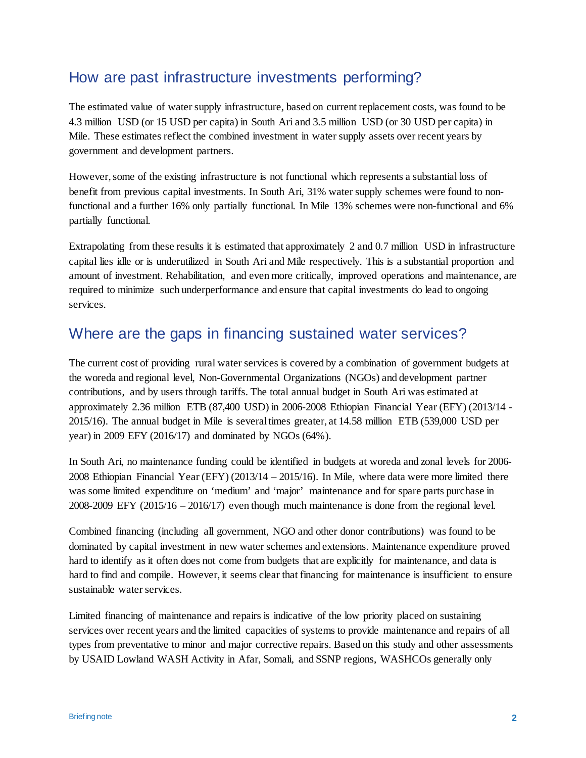## How are past infrastructure investments performing?

The estimated value of water supply infrastructure, based on current replacement costs, was found to be 4.3 million USD (or 15 USD per capita) in South Ari and 3.5 million USD (or 30 USD per capita) in Mile. These estimates reflect the combined investment in water supply assets over recent years by government and development partners.

However, some of the existing infrastructure is not functional which represents a substantial loss of benefit from previous capital investments. In South Ari, 31% water supply schemes were found to nonfunctional and a further 16% only partially functional. In Mile 13% schemes were non-functional and 6% partially functional.

Extrapolating from these results it is estimated that approximately 2 and 0.7 million USD in infrastructure capital lies idle or is underutilized in South Ari and Mile respectively. This is a substantial proportion and amount of investment. Rehabilitation, and even more critically, improved operations and maintenance, are required to minimize such underperformance and ensure that capital investments do lead to ongoing services.

## Where are the gaps in financing sustained water services?

The current cost of providing rural water services is covered by a combination of government budgets at the woreda and regional level, Non-Governmental Organizations (NGOs) and development partner contributions, and by users through tariffs. The total annual budget in South Ari was estimated at approximately 2.36 million ETB (87,400 USD) in 2006-2008 Ethiopian Financial Year (EFY) (2013/14 - 2015/16). The annual budget in Mile is several times greater, at 14.58 million ETB (539,000 USD per year) in 2009 EFY (2016/17) and dominated by NGOs (64%).

In South Ari, no maintenance funding could be identified in budgets at woreda and zonal levels for 2006- 2008 Ethiopian Financial Year (EFY) (2013/14 – 2015/16). In Mile, where data were more limited there was some limited expenditure on 'medium' and 'major' maintenance and for spare parts purchase in 2008-2009 EFY (2015/16 – 2016/17) even though much maintenance is done from the regional level.

Combined financing (including all government, NGO and other donor contributions) was found to be dominated by capital investment in new water schemes and extensions. Maintenance expenditure proved hard to identify as it often does not come from budgets that are explicitly for maintenance, and data is hard to find and compile. However, it seems clear that financing for maintenance is insufficient to ensure sustainable water services.

Limited financing of maintenance and repairs is indicative of the low priority placed on sustaining services over recent years and the limited capacities of systems to provide maintenance and repairs of all types from preventative to minor and major corrective repairs. Based on this study and other assessments by USAID Lowland WASH Activity in Afar, Somali, and SSNP regions, WASHCOs generally only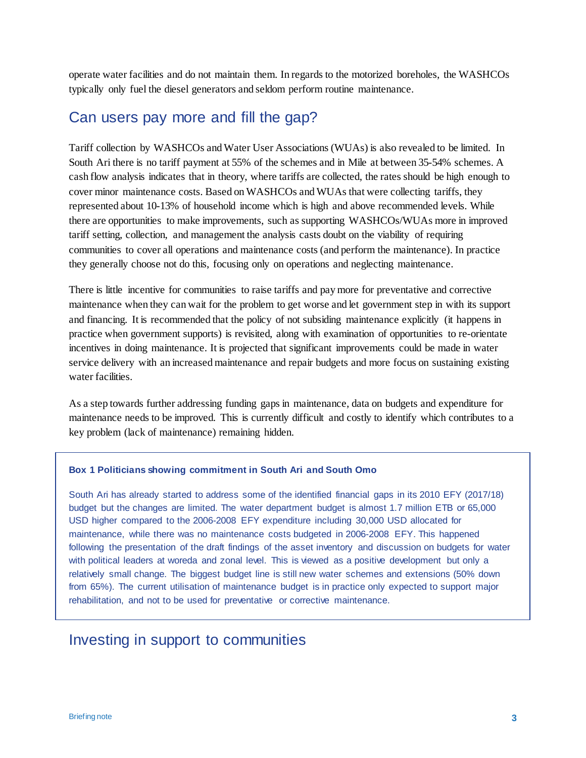operate water facilities and do not maintain them. In regards to the motorized boreholes, the WASHCOs typically only fuel the diesel generators and seldom perform routine maintenance.

### Can users pay more and fill the gap?

Tariff collection by WASHCOs and Water User Associations (WUAs) is also revealed to be limited. In South Ari there is no tariff payment at 55% of the schemes and in Mile at between 35-54% schemes. A cash flow analysis indicates that in theory, where tariffs are collected, the rates should be high enough to cover minor maintenance costs. Based on WASHCOs and WUAs that were collecting tariffs, they represented about 10-13% of household income which is high and above recommended levels. While there are opportunities to make improvements, such as supporting WASHCOs/WUAs more in improved tariff setting, collection, and management the analysis casts doubt on the viability of requiring communities to cover all operations and maintenance costs (and perform the maintenance). In practice they generally choose not do this, focusing only on operations and neglecting maintenance.

There is little incentive for communities to raise tariffs and pay more for preventative and corrective maintenance when they can wait for the problem to get worse and let government step in with its support and financing. It is recommended that the policy of not subsiding maintenance explicitly (it happens in practice when government supports) is revisited, along with examination of opportunities to re-orientate incentives in doing maintenance. It is projected that significant improvements could be made in water service delivery with an increased maintenance and repair budgets and more focus on sustaining existing water facilities.

As a step towards further addressing funding gaps in maintenance, data on budgets and expenditure for maintenance needs to be improved. This is currently difficult and costly to identify which contributes to a key problem (lack of maintenance) remaining hidden.

#### **Box 1 Politicians showing commitment in South Ari and South Omo**

South Ari has already started to address some of the identified financial gaps in its 2010 EFY (2017/18) budget but the changes are limited. The water department budget is almost 1.7 million ETB or 65,000 USD higher compared to the 2006-2008 EFY expenditure including 30,000 USD allocated for maintenance, while there was no maintenance costs budgeted in 2006-2008 EFY. This happened following the presentation of the draft findings of the asset inventory and discussion on budgets for water with political leaders at woreda and zonal level. This is viewed as a positive development but only a relatively small change. The biggest budget line is still new water schemes and extensions (50% down from 65%). The current utilisation of maintenance budget is in practice only expected to support major rehabilitation, and not to be used for preventative or corrective maintenance.

#### Investing in support to communities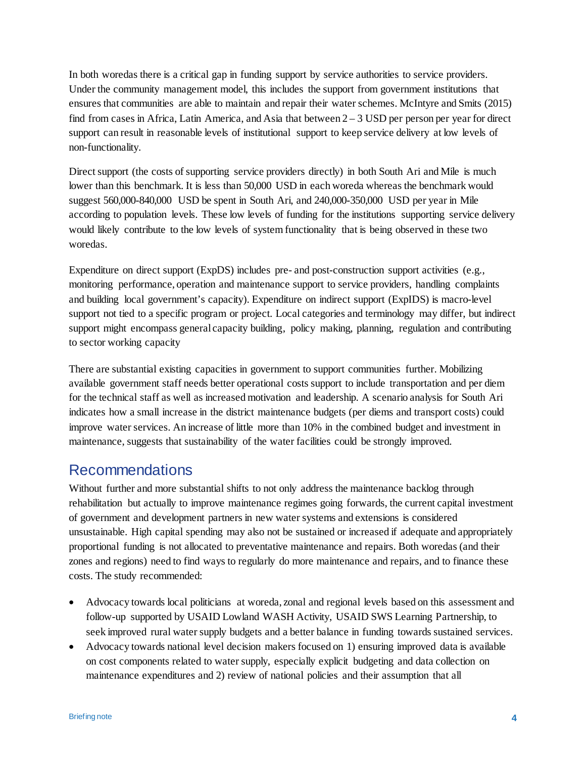In both woredas there is a critical gap in funding support by service authorities to service providers. Under the community management model, this includes the support from government institutions that ensures that communities are able to maintain and repair their water schemes. McIntyre and Smits (2015) find from cases in Africa, Latin America, and Asia that between 2 – 3 USD per person per year for direct support can result in reasonable levels of institutional support to keep service delivery at low levels of non-functionality.

Direct support (the costs of supporting service providers directly) in both South Ari and Mile is much lower than this benchmark. It is less than 50,000 USD in each woreda whereas the benchmark would suggest 560,000-840,000 USD be spent in South Ari, and 240,000-350,000 USD per year in Mile according to population levels. These low levels of funding for the institutions supporting service delivery would likely contribute to the low levels of system functionality that is being observed in these two woredas.

Expenditure on direct support (ExpDS) includes pre- and post-construction support activities (e.g., monitoring performance, operation and maintenance support to service providers, handling complaints and building local government's capacity). Expenditure on indirect support (ExpIDS) is macro-level support not tied to a specific program or project. Local categories and terminology may differ, but indirect support might encompass general capacity building, policy making, planning, regulation and contributing to sector working capacity

There are substantial existing capacities in government to support communities further. Mobilizing available government staff needs better operational costs support to include transportation and per diem for the technical staff as well as increased motivation and leadership. A scenario analysis for South Ari indicates how a small increase in the district maintenance budgets (per diems and transport costs) could improve water services. An increase of little more than 10% in the combined budget and investment in maintenance, suggests that sustainability of the water facilities could be strongly improved.

### Recommendations

Without further and more substantial shifts to not only address the maintenance backlog through rehabilitation but actually to improve maintenance regimes going forwards, the current capital investment of government and development partners in new water systems and extensions is considered unsustainable. High capital spending may also not be sustained or increased if adequate and appropriately proportional funding is not allocated to preventative maintenance and repairs. Both woredas (and their zones and regions) need to find ways to regularly do more maintenance and repairs, and to finance these costs. The study recommended:

- Advocacy towards local politicians at woreda, zonal and regional levels based on this assessment and follow-up supported by USAID Lowland WASH Activity, USAID SWS Learning Partnership, to seek improved rural water supply budgets and a better balance in funding towards sustained services.
- Advocacy towards national level decision makers focused on 1) ensuring improved data is available on cost components related to water supply, especially explicit budgeting and data collection on maintenance expenditures and 2) review of national policies and their assumption that all